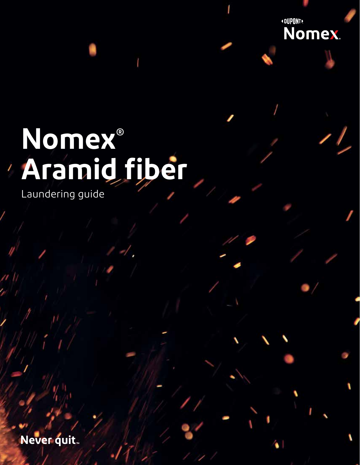# **Nomex® Aramid fiber**

Laundering guide

Never quit.

aramid fiber 1990 and the second control of the second control of the second control of the second control of

**«OUPONT»** 

Nomex.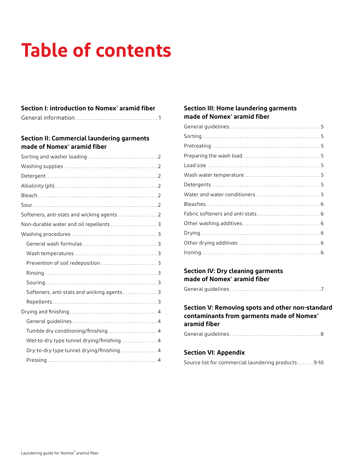## **Table of contents**

## **Section I: introduction to Nomex® aramid fiber**

## **Section II: Commercial laundering garments made of Nomex® aramid fiber**

| Non-durable water and oil repellents 3     |
|--------------------------------------------|
|                                            |
|                                            |
|                                            |
|                                            |
|                                            |
|                                            |
| Softeners, anti-stats and wicking agents 3 |
|                                            |
|                                            |
|                                            |
| Tumble dry conditioning/finishing 4        |
| Wet-to-dry type tunnel drying/finishing  4 |
| Dry-to-dry type tunnel drying/finishing 4  |
|                                            |

## **Section III: Home laundering garments made of Nomex® aramid fiber**

## **Section IV: Dry cleaning garments made of Nomex® aramid fiber**

General guidelines . . . . . . . . . . . . . . . . . . . . . . . . . . . . . . . . . . . . . 7

## **Section V: Removing spots and other non-standard contaminants from garments made of Nomex® aramid fiber**

|--|--|

## **Section VI: Appendix**

Source list for commercial laundering products . . . . . . 9-10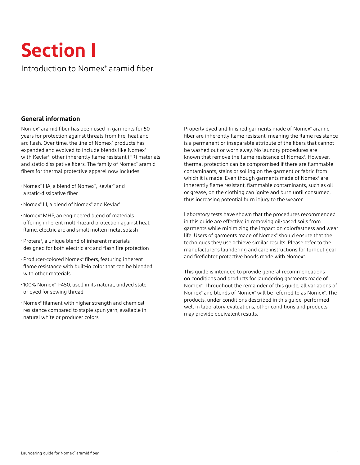## **Section I**

## Introduction to Nomex® aramid fiber

## **General information**

Nomex® aramid fiber has been used in garments for 50 years for protection against threats from fire, heat and arc flash. Over time, the line of Nomex® products has expanded and evolved to include blends like Nomex® with Kevlar® , other inherently flame resistant (FR) materials and static-dissipative fibers. The family of Nomex® aramid fibers for thermal protective apparel now includes:

- •Nomex® IIIA, a blend of Nomex® , Kevlar® and a static-dissipative fiber
- •Nomex® III, a blend of Nomex® and Kevlar®
- •Nomex® MHP, an engineered blend of materials offering inherent multi-hazard protection against heat, flame, electric arc and small molten metal splash
- •Protera® , a unique blend of inherent materials designed for both electric arc and flash fire protection
- •Producer-colored Nomex® fibers, featuring inherent flame resistance with built-in color that can be blended with other materials
- •100% Nomex® T-450, used in its natural, undyed state or dyed for sewing thread
- •Nomex® filament with higher strength and chemical resistance compared to staple spun yarn, available in natural white or producer colors

Properly dyed and finished garments made of Nomex® aramid fiber are inherently flame resistant, meaning the flame resistance is a permanent or inseparable attribute of the fibers that cannot be washed out or worn away. No laundry procedures are known that remove the flame resistance of Nomex®. However, thermal protection can be compromised if there are flammable contaminants, stains or soiling on the garment or fabric from which it is made. Even though garments made of Nomex<sup>®</sup> are inherently flame resistant, flammable contaminants, such as oil or grease, on the clothing can ignite and burn until consumed, thus increasing potential burn injury to the wearer.

Laboratory tests have shown that the procedures recommended in this guide are effective in removing oil-based soils from garments while minimizing the impact on colorfastness and wear life. Users of garments made of Nomex® should ensure that the techniques they use achieve similar results. Please refer to the manufacturer's laundering and care instructions for turnout gear and firefighter protective hoods made with Nomex®.

This guide is intended to provide general recommendations on conditions and products for laundering garments made of Nomex<sup>®</sup>. Throughout the remainder of this guide, all variations of Nomex<sup>®</sup> and blends of Nomex<sup>®</sup> will be referred to as Nomex<sup>®</sup>. The products, under conditions described in this guide, performed well in laboratory evaluations; other conditions and products may provide equivalent results.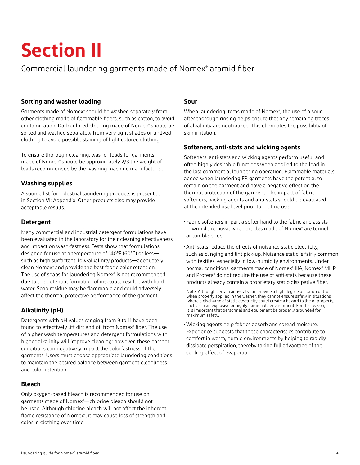## **Section II**

## Commercial laundering garments made of Nomex® aramid fiber

## **Sorting and washer loading**

Garments made of Nomex® should be washed separately from other clothing made of flammable fibers, such as cotton, to avoid contamination. Dark colored clothing made of Nomex<sup>®</sup> should be sorted and washed separately from very light shades or undyed clothing to avoid possible staining of light colored clothing.

To ensure thorough cleaning, washer loads for garments made of Nomex® should be approximately 2/3 the weight of loads recommended by the washing machine manufacturer.

## **Washing supplies**

A source list for industrial laundering products is presented in Section VI: Appendix. Other products also may provide acceptable results.

## **Detergent**

Many commercial and industrial detergent formulations have been evaluated in the laboratory for their cleaning effectiveness and impact on wash-fastness. Tests show that formulations designed for use at a temperature of 140°F (60°C) or less such as high surfactant, low-alkalinity products—adequately clean Nomex® and provide the best fabric color retention. The use of soaps for laundering Nomex® is not recommended due to the potential formation of insoluble residue with hard water. Soap residue may be flammable and could adversely affect the thermal protective performance of the garment.

## **Alkalinity (pH)**

Detergents with pH values ranging from 9 to 11 have been found to effectively lift dirt and oil from Nomex® fiber. The use of higher wash temperatures and detergent formulations with higher alkalinity will improve cleaning; however, these harsher conditions can negatively impact the colorfastness of the garments. Users must choose appropriate laundering conditions to maintain the desired balance between garment cleanliness and color retention.

## **Bleach**

Only oxygen-based bleach is recommended for use on garments made of Nomex® —chlorine bleach should not be used. Although chlorine bleach will not affect the inherent flame resistance of Nomex<sup>®</sup>, it may cause loss of strength and color in clothing over time.

## **Sour**

When laundering items made of Nomex® , the use of a sour after thorough rinsing helps ensure that any remaining traces of alkalinity are neutralized. This eliminates the possibility of skin irritation.

### **Softeners, anti-stats and wicking agents**

Softeners, anti-stats and wicking agents perform useful and often highly desirable functions when applied to the load in the last commercial laundering operation. Flammable materials added when laundering FR garments have the potential to remain on the garment and have a negative effect on the thermal protection of the garment. The impact of fabric softeners, wicking agents and anti-stats should be evaluated at the intended use level prior to routine use.

•Fabric softeners impart a softer hand to the fabric and assists in wrinkle removal when articles made of Nomex® are tunnel or tumble dried.

•Anti-stats reduce the effects of nuisance static electricity, such as clinging and lint pick-up. Nuisance static is fairly common with textiles, especially in low-humidity environments. Under normal conditions, garments made of Nomex® IIIA, Nomex® MHP and Protera® do not require the use of anti-stats because these products already contain a proprietary static-dissipative fiber.

Note: Although certain anti-stats can provide a high degree of static control when properly applied in the washer, they cannot ensure safety in situations where a discharge of static electricity could create a hazard to life or property, such as in an explosive or highly flammable environment. For this reason, it is important that personnel and equipment be properly grounded for maximum safety.

•Wicking agents help fabrics adsorb and spread moisture. Experience suggests that these characteristics contribute to comfort in warm, humid environments by helping to rapidly dissipate perspiration, thereby taking full advantage of the cooling effect of evaporation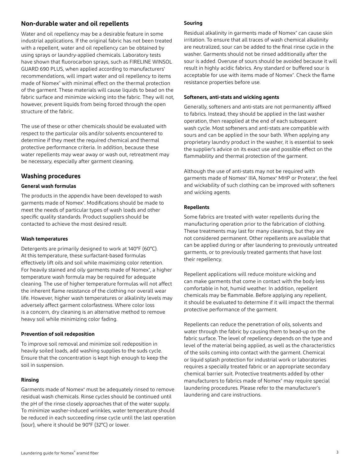### **Non-durable water and oil repellents**

Water and oil repellency may be a desirable feature in some industrial applications. If the original fabric has not been treated with a repellent, water and oil repellency can be obtained by using sprays or laundry-applied chemicals. Laboratory tests have shown that fluorocarbon sprays, such as FIRELINE WINSOL GUARD 690 PLUS, when applied according to manufacturers' recommendations, will impart water and oil repellency to items made of Nomex® with minimal effect on the thermal protection of the garment. These materials will cause liquids to bead on the fabric surface and minimize wicking into the fabric. They will not, however, prevent liquids from being forced through the open structure of the fabric.

The use of these or other chemicals should be evaluated with respect to the particular oils and/or solvents encountered to determine if they meet the required chemical and thermal protective performance criteria. In addition, because these water repellents may wear away or wash out, retreatment may be necessary, especially after garment cleaning.

#### **Washing procedures**

#### **General wash formulas**

The products in the appendix have been developed to wash garments made of Nomex® . Modifications should be made to meet the needs of particular types of wash loads and other specific quality standards. Product suppliers should be contacted to achieve the most desired result.

#### **Wash temperatures**

Detergents are primarily designed to work at 140°F (60°C). At this temperature, these surfactant-based formulas effectively lift oils and soil while maximizing color retention. For heavily stained and oily garments made of Nomex®, a higher temperature wash formula may be required for adequate cleaning. The use of higher temperature formulas will not affect the inherent flame resistance of the clothing nor overall wear life. However, higher wash temperatures or alkalinity levels may adversely affect garment colorfastness. Where color loss is a concern, dry cleaning is an alternative method to remove heavy soil while minimizing color fading.

#### **Prevention of soil redeposition**

To improve soil removal and minimize soil redeposition in heavily soiled loads, add washing supplies to the suds cycle. Ensure that the concentration is kept high enough to keep the soil in suspension.

#### **Rinsing**

Garments made of Nomex® must be adequately rinsed to remove residual wash chemicals. Rinse cycles should be continued until the pH of the rinse closely approaches that of the water supply. To minimize washer-induced wrinkles, water temperature should be reduced in each succeeding rinse cycle until the last operation (sour), where it should be 90°F (32°C) or lower.

#### **Souring**

Residual alkalinity in garments made of Nomex® can cause skin irritation. To ensure that all traces of wash chemical alkalinity are neutralized, sour can be added to the final rinse cycle in the washer. Garments should not be rinsed additionally after the sour is added. Overuse of sours should be avoided because it will result in highly acidic fabrics. Any standard or buffered sour is acceptable for use with items made of Nomex<sup>®</sup>. Check the flame resistance properties before use.

#### **Softeners, anti-stats and wicking agents**

Generally, softeners and anti-stats are not permanently affixed to fabrics. Instead, they should be applied in the last washer operation, then reapplied at the end of each subsequent wash cycle. Most softeners and anti-stats are compatible with sours and can be applied in the sour bath. When applying any proprietary laundry product in the washer, it is essential to seek the supplier's advice on its exact use and possible effect on the flammability and thermal protection of the garment.

Although the use of anti-stats may not be required with garments made of Nomex® IIIA, Nomex® MHP or Protera®, the feel and wickability of such clothing can be improved with softeners and wicking agents.

#### **Repellents**

Some fabrics are treated with water repellents during the manufacturing operation prior to the fabrication of clothing. These treatments may last for many cleanings, but they are not considered permanent. Other repellents are available that can be applied during or after laundering to previously untreated garments, or to previously treated garments that have lost their repellency.

Repellent applications will reduce moisture wicking and can make garments that come in contact with the body less comfortable in hot, humid weather. In addition, repellent chemicals may be flammable. Before applying any repellent, it should be evaluated to determine if it will impact the thermal protective performance of the garment.

Repellents can reduce the penetration of oils, solvents and water through the fabric by causing them to bead-up on the fabric surface. The level of repellency depends on the type and level of the material being applied, as well as the characteristics of the soils coming into contact with the garment. Chemical or liquid splash protection for industrial work or laboratories requires a specially treated fabric or an appropriate secondary chemical barrier suit. Protective treatments added by other manufacturers to fabrics made of Nomex® may require special laundering procedures. Please refer to the manufacturer's laundering and care instructions.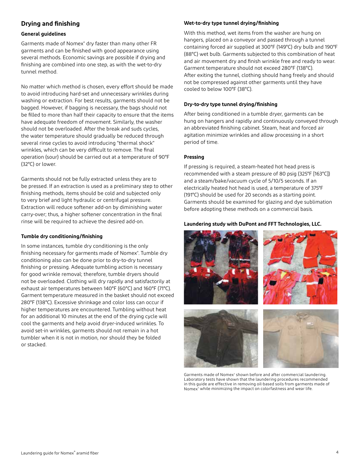## **Drying and finishing**

#### **General guidelines**

Garments made of Nomex® dry faster than many other FR garments and can be finished with good appearance using several methods. Economic savings are possible if drying and finishing are combined into one step, as with the wet-to-dry tunnel method.

No matter which method is chosen, every effort should be made to avoid introducing hard-set and unnecessary wrinkles during washing or extraction. For best results, garments should not be bagged. However, if bagging is necessary, the bags should not be filled to more than half their capacity to ensure that the items have adequate freedom of movement. Similarly, the washer should not be overloaded. After the break and suds cycles, the water temperature should gradually be reduced through several rinse cycles to avoid introducing "thermal shock" wrinkles, which can be very difficult to remove. The final operation (sour) should be carried out at a temperature of 90°F (32°C) or lower.

Garments should not be fully extracted unless they are to be pressed. If an extraction is used as a preliminary step to other finishing methods, items should be cold and subjected only to very brief and light hydraulic or centrifugal pressure. Extraction will reduce softener add-on by diminishing water carry-over; thus, a higher softener concentration in the final rinse will be required to achieve the desired add-on.

#### **Tumble dry conditioning/finishing**

In some instances, tumble dry conditioning is the only finishing necessary for garments made of Nomex® . Tumble dry conditioning also can be done prior to dry-to-dry tunnel finishing or pressing. Adequate tumbling action is necessary for good wrinkle removal; therefore, tumble dryers should not be overloaded. Clothing will dry rapidly and satisfactorily at exhaust air temperatures between 140°F (60°C) and 160°F (71°C). Garment temperature measured in the basket should not exceed 280°F (138°C). Excessive shrinkage and color loss can occur if higher temperatures are encountered. Tumbling without heat for an additional 10 minutes at the end of the drying cycle will cool the garments and help avoid dryer-induced wrinkles. To avoid set-in wrinkles, garments should not remain in a hot tumbler when it is not in motion, nor should they be folded or stacked.

#### **Wet-to-dry type tunnel drying/finishing**

With this method, wet items from the washer are hung on hangers, placed on a conveyor and passed through a tunnel containing forced air supplied at 300°F (149°C) dry bulb and 190°F (88°C) wet bulb. Garments subjected to this combination of heat and air movement dry and finish wrinkle free and ready to wear. Garment temperature should not exceed 280°F (138°C). After exiting the tunnel, clothing should hang freely and should not be compressed against other garments until they have cooled to below 100°F (38°C).

#### **Dry-to-dry type tunnel drying/finishing**

After being conditioned in a tumble dryer, garments can be hung on hangers and rapidly and continuously conveyed through an abbreviated finishing cabinet. Steam, heat and forced air agitation minimize wrinkles and allow processing in a short period of time.

#### **Pressing**

If pressing is required, a steam-heated hot head press is recommended with a steam pressure of 80 psig (325°F [163°C]) and a steam/bake/vacuum cycle of 5/10/5 seconds. If an electrically heated hot head is used, a temperature of 375°F (191°C) should be used for 20 seconds as a starting point. Garments should be examined for glazing and dye sublimation before adopting these methods on a commercial basis.

#### **Laundering study with DuPont and FFT Technologies, LLC.**



Garments made of Nomex® shown before and after commercial laundering. Laboratory tests have shown that the laundering procedures recommended in this guide are effective in removing oil-based soils from garments made of Nomex<sup>®</sup> while minimizing the impact on colorfastness and wear life.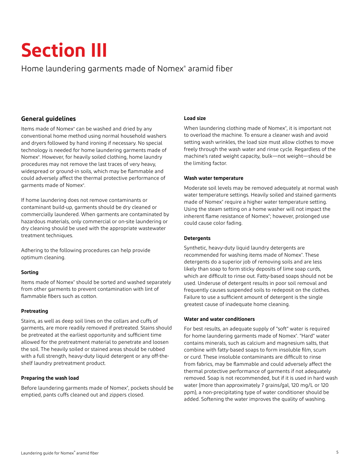## **Section III**

## Home laundering garments made of Nomex® aramid fiber

## **General guidelines**

Items made of Nomex® can be washed and dried by any conventional home method using normal household washers and dryers followed by hand ironing if necessary. No special technology is needed for home laundering garments made of Nomex® . However, for heavily soiled clothing, home laundry procedures may not remove the last traces of very heavy, widespread or ground-in soils, which may be flammable and could adversely affect the thermal protective performance of garments made of Nomex<sup>®</sup>.

If home laundering does not remove contaminants or contaminant build-up, garments should be dry cleaned or commercially laundered. When garments are contaminated by hazardous materials, only commercial or on-site laundering or dry cleaning should be used with the appropriate wastewater treatment techniques.

Adhering to the following procedures can help provide optimum cleaning.

#### **Sorting**

Items made of Nomex® should be sorted and washed separately from other garments to prevent contamination with lint of flammable fibers such as cotton.

#### **Pretreating**

Stains, as well as deep soil lines on the collars and cuffs of garments, are more readily removed if pretreated. Stains should be pretreated at the earliest opportunity and sufficient time allowed for the pretreatment material to penetrate and loosen the soil. The heavily soiled or stained areas should be rubbed with a full strength, heavy-duty liquid detergent or any off-theshelf laundry pretreatment product.

#### **Preparing the wash load**

Before laundering garments made of Nomex®, pockets should be emptied, pants cuffs cleaned out and zippers closed.

#### **Load size**

When laundering clothing made of Nomex® , it is important not to overload the machine. To ensure a cleaner wash and avoid setting wash wrinkles, the load size must allow clothes to move freely through the wash water and rinse cycle. Regardless of the machine's rated weight capacity, bulk—not weight—should be the limiting factor.

#### **Wash water temperature**

Moderate soil levels may be removed adequately at normal wash water temperature settings. Heavily soiled and stained garments made of Nomex® require a higher water temperature setting. Using the steam setting on a home washer will not impact the inherent flame resistance of Nomex® ; however, prolonged use could cause color fading.

#### **Detergents**

Synthetic, heavy-duty liquid laundry detergents are recommended for washing items made of Nomex®. These detergents do a superior job of removing soils and are less likely than soap to form sticky deposits of lime soap curds, which are difficult to rinse out. Fatty-based soaps should not be used. Underuse of detergent results in poor soil removal and frequently causes suspended soils to redeposit on the clothes. Failure to use a sufficient amount of detergent is the single greatest cause of inadequate home cleaning.

#### **Water and water conditioners**

For best results, an adequate supply of "soft" water is required for home laundering garments made of Nomex<sup>®</sup>. "Hard" water contains minerals, such as calcium and magnesium salts, that combine with fatty-based soaps to form insoluble film, scum or curd. These insoluble contaminants are difficult to rinse from fabrics, may be flammable and could adversely affect the thermal protective performance of garments if not adequately removed. Soap is not recommended, but if it is used in hard wash water (more than approximately 7 grains/gal, 120 mg/L or 120 ppm), a non-precipitating type of water conditioner should be added. Softening the water improves the quality of washing.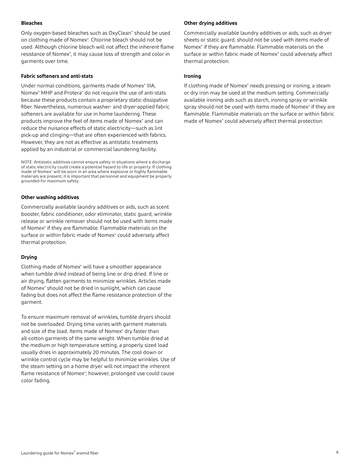#### **Bleaches**

Only oxygen-based bleaches such as OxyClean™ should be used on clothing made of Nomex® . Chlorine bleach should not be used. Although chlorine bleach will not affect the inherent flame resistance of Nomex®, it may cause loss of strength and color in garments over time.

#### **Fabric softeners and anti-stats**

Under normal conditions, garments made of Nomex® IIIA, Nomex® MHP and Protera® do not require the use of anti-stats because these products contain a proprietary static-dissipative fiber. Nevertheless, numerous washer- and dryer-applied fabric softeners are available for use in home laundering. These products improve the feel of items made of Nomex® and can reduce the nuisance effects of static electricity—such as lint pick-up and clinging—that are often experienced with fabrics. However, they are not as effective as antistatic treatments applied by an industrial or commercial laundering facility.

NOTE: Antistatic additives cannot ensure safety in situations where a discharge of static electricity could create a potential hazard to life or property. If clothing made of Nomex® will be worn in an area where explosive or highly flammable materials are present, it is important that personnel and equipment be properly grounded for maximum safety.

#### **Other washing additives**

Commercially available laundry additives or aids, such as scent booster, fabric conditioner, odor eliminator, static guard, wrinkle release or wrinkle remover should not be used with items made of Nomex® if they are flammable. Flammable materials on the surface or within fabric made of Nomex® could adversely affect thermal protection.

#### **Drying**

Clothing made of Nomex® will have a smoother appearance when tumble dried instead of being line or drip dried. If line or air drying, flatten garments to minimize wrinkles. Articles made of Nomex<sup>®</sup> should not be dried in sunlight, which can cause fading but does not affect the flame resistance protection of the garment.

To ensure maximum removal of wrinkles, tumble dryers should not be overloaded. Drying time varies with garment materials and size of the load. Items made of Nomex<sup>®</sup> dry faster than all-cotton garments of the same weight. When tumble dried at the medium or high temperature setting, a properly sized load usually dries in approximately 20 minutes. The cool down or wrinkle control cycle may be helpful to minimize wrinkles. Use of the steam setting on a home dryer will not impact the inherent flame resistance of Nomex<sup>®</sup>; however, prolonged use could cause color fading.

#### **Other drying additives**

Commercially available laundry additives or aids, such as dryer sheets or static guard, should not be used with items made of Nomex® if they are flammable. Flammable materials on the surface or within fabric made of Nomex® could adversely affect thermal protection.

#### **Ironing**

If clothing made of Nomex® needs pressing or ironing, a steam or dry iron may be used at the medium setting. Commercially available ironing aids such as starch, ironing spray or wrinkle spray should not be used with items made of Nomex® if they are flammable. Flammable materials on the surface or within fabric made of Nomex® could adversely affect thermal protection.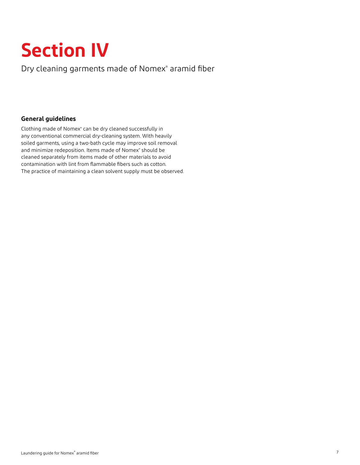## **Section IV**

Dry cleaning garments made of Nomex® aramid fiber

## **General guidelines**

Clothing made of Nomex<sup>®</sup> can be dry cleaned successfully in any conventional commercial dry-cleaning system. With heavily soiled garments, using a two-bath cycle may improve soil removal and minimize redeposition. Items made of Nomex® should be cleaned separately from items made of other materials to avoid contamination with lint from flammable fibers such as cotton. The practice of maintaining a clean solvent supply must be observed.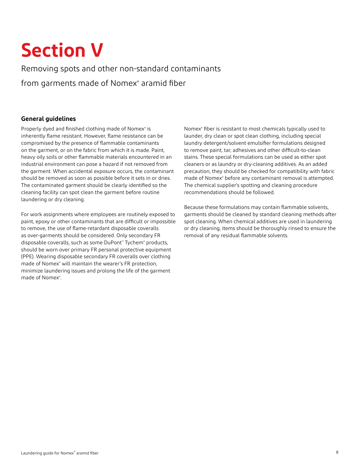## **Section V**

Removing spots and other non-standard contaminants from garments made of Nomex® aramid fiber

## **General guidelines**

Properly dyed and finished clothing made of Nomex<sup>®</sup> is inherently flame resistant. However, flame resistance can be compromised by the presence of flammable contaminants on the garment, or on the fabric from which it is made. Paint, heavy oily soils or other flammable materials encountered in an industrial environment can pose a hazard if not removed from the garment. When accidental exposure occurs, the contaminant should be removed as soon as possible before it sets in or dries. The contaminated garment should be clearly identified so the cleaning facility can spot clean the garment before routine laundering or dry cleaning.

For work assignments where employees are routinely exposed to paint, epoxy or other contaminants that are difficult or impossible to remove, the use of flame-retardant disposable coveralls as over-garments should be considered. Only secondary FR disposable coveralls, such as some DuPont™ Tychem® products, should be worn over primary FR personal protective equipment (PPE). Wearing disposable secondary FR coveralls over clothing made of Nomex® will maintain the wearer's FR protection, minimize laundering issues and prolong the life of the garment made of Nomex<sup>®</sup>.

Nomex® fiber is resistant to most chemicals typically used to launder, dry clean or spot clean clothing, including special laundry detergent/solvent emulsifier formulations designed to remove paint, tar, adhesives and other difficult-to-clean stains. These special formulations can be used as either spot cleaners or as laundry or dry-cleaning additives. As an added precaution, they should be checked for compatibility with fabric made of Nomex<sup>®</sup> before any contaminant removal is attempted. The chemical supplier's spotting and cleaning procedure recommendations should be followed.

Because these formulations may contain flammable solvents, garments should be cleaned by standard cleaning methods after spot cleaning. When chemical additives are used in laundering or dry cleaning, items should be thoroughly rinsed to ensure the removal of any residual flammable solvents.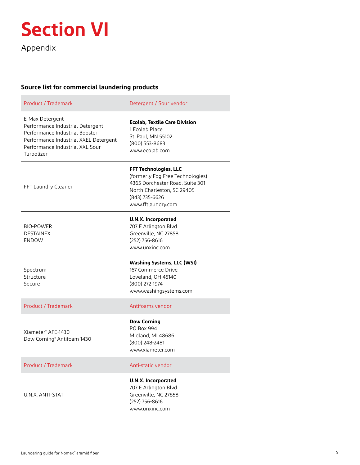

Appendix

п

## **Source list for commercial laundering products**

| Product / Trademark                                                                                                                                                             | Detergent / Sour vendor                                                                                                                                                   |
|---------------------------------------------------------------------------------------------------------------------------------------------------------------------------------|---------------------------------------------------------------------------------------------------------------------------------------------------------------------------|
| E-Max Detergent<br>Performance Industrial Detergent<br>Performance Industrial Booster<br>Performance Industrial XXEL Detergent<br>Performance Industrial XXL Sour<br>Turbolizer | <b>Ecolab, Textile Care Division</b><br>1 Ecolab Place<br>St. Paul, MN 55102<br>(800) 553-8683<br>www.ecolab.com                                                          |
| FFT Laundry Cleaner                                                                                                                                                             | <b>FFT Technologies, LLC</b><br>(formerly Fog Free Technologies)<br>4365 Dorchester Road, Suite 301<br>North Charleston, SC 29405<br>(843) 735-6626<br>www.fftlaundry.com |
| <b>BIO-POWER</b><br><b>DESTAINEX</b><br><b>ENDOW</b>                                                                                                                            | <b>U.N.X. Incorporated</b><br>707 E Arlington Blvd<br>Greenville, NC 27858<br>(252) 756-8616<br>www.unxinc.com                                                            |
| Spectrum<br>Structure<br>Secure                                                                                                                                                 | <b>Washing Systems, LLC (WSI)</b><br>167 Commerce Drive<br>Loveland, OH 45140<br>(800) 272-1974<br>www.washingsystems.com                                                 |
| Product / Trademark                                                                                                                                                             | Antifoams vendor                                                                                                                                                          |
| Xiameter® AFE-1430<br>Dow Corning® Antifoam 1430                                                                                                                                | <b>Dow Corning</b><br>PO Box 994<br>Midland, MI 48686<br>(800) 248-2481<br>www.xiameter.com                                                                               |
| Product / Trademark                                                                                                                                                             | Anti-static vendor                                                                                                                                                        |
| U.N.X. ANTI-STAT                                                                                                                                                                | <b>U.N.X. Incorporated</b><br>707 E Arlington Blvd<br>Greenville, NC 27858<br>(252) 756-8616<br>www.unxinc.com                                                            |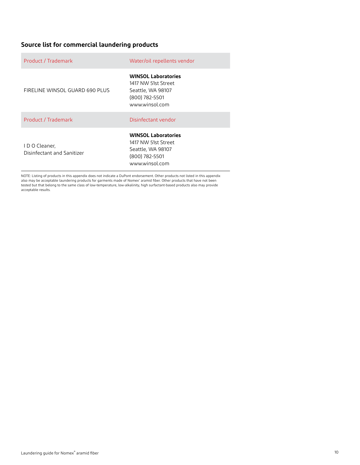## **Source list for commercial laundering products**

| Product / Trademark                        | Water/oil repellents vendor                                                                                |
|--------------------------------------------|------------------------------------------------------------------------------------------------------------|
| FIRELINE WINSOL GUARD 690 PLUS             | <b>WINSOL Laboratories</b><br>1417 NW 51st Street<br>Seattle, WA 98107<br>(800) 782-5501<br>www.winsol.com |
| Product / Trademark                        | Disinfectant vendor                                                                                        |
| IDO Cleaner,<br>Disinfectant and Sanitizer | <b>WINSOL Laboratories</b><br>1417 NW 51st Street<br>Seattle, WA 98107<br>(800) 782-5501<br>www.winsol.com |

NOTE: Listing of products in this appendix does not indicate a DuPont endorsement. Other products not listed in this appendix<br>also may be acceptable laundering products for garments made of Nomex® aramid fiber. Other produ acceptable results.